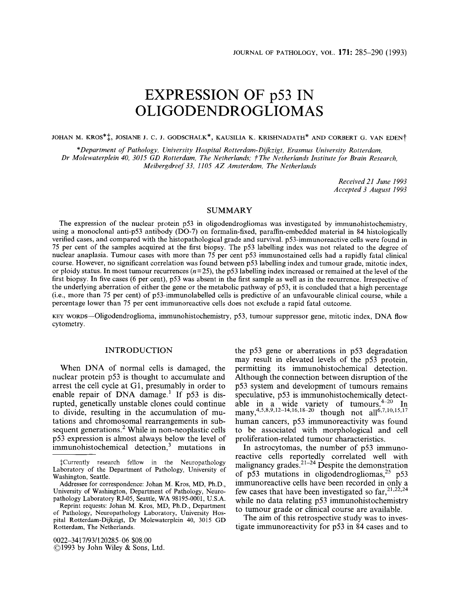# **EXPRESSION OF p53 IN OLIGODENDROGLIOMAS**

**JOHAN M. KROS\*\$, JOSIANE J.** c. **J. GODSCHALK\*, KAUSILIA K. KRISHNADATH\* AND CORBERT G. VAN EDEN?** 

*'Department of Pathology, University Hospital Rot ferdam-Dijkzigt, Erasmus University Rotterdam, Dr Molewaterplein 40, 3015 GD Rotterdam, The Netherlands; TThe Netherlands Institute for Brain Research, Meibergdreej' 33, 1105 AZ Amsterdam, The Netherlands* 

> *Received 21 June I993 Accepted 3 August 1993*

# SUMMARY

The expression of the nuclear protein p53 in oligodendrogliomas was investigated by immunohistochemistry, using a monoclonal anti-p53 antibody (DO-7) on formalin-fixed, paraffin-embedded material in 84 histologically verified cases, and compared with the histopathological grade and survival. p53-immunoreactive cells were found in 75 per cent of the samples acquired at the first biopsy. The p53 labelling index was not related to the degree of nuclear anaplasia. Tumour cases with more than  $75$  per cent  $p53$  immunostained cells had a rapidly fatal clinical course. However, no significant correlation was found between p53 labelling index and tumour grade, mitotic index, or ploidy status. In most tumour recurrences *(n=25),* the p53 labelling index increased or remained at the level of the first biopsy. In five cases (6 per cent), p53 was absent in the first sample as well as in the recurrence. Irrespective of the underlying aberration of either the gene or the metabolic pathway of p53, it is concluded that a high percentage (i.e., more than 75 per cent) of p53-immunolabelled cells is predictive of an unfavourable clinical course, while a percentage lower than 75 per cent immunoreactive cells does not exclude a rapid fatal outcome.

**KEY** woRDs-Ohgodendroglioma, immunohistochemistry, p53, tumour suppressor gene, mitotic index, DNA flow cytometry.

# INTRODUCTION

When DNA of normal cells is damaged, the nuclear protein p53 is thought to accumulate and arrest the cell cycle at G1, presumably in order to enable repair of DNA damage.<sup>1</sup> If p53 is disrupted, genetically unstable clones could continue to divide, resulting in the accumulation of mutations and chromosomal rearrangements in subsequent generations.<sup>2</sup> While in non-neoplastic cells p53 expression is almost always below the level of immunohistochemical detection,<sup>3</sup> mutations in

0022-341 719311 20285-06 \$08.00 01993 by John Wiley & Sons, Ltd.

the p53 gene or aberrations in p53 degradation may result in elevated levels of the p53 protein, permitting its immunohistochemical detection. Although the connection between disruption of the p53 system and development of tumours remains speculative, p53 is immunohistochemically detectable in a wide variety of tumours.<sup>4-20</sup> In<br>many 4,5,8,9,12-14,16,18-20 though not all<sup>6,7,10,15,17</sup> human cancers, p53 immunoreactivity was found to be associated with morphological and cell proliferation-related tumour characteristics.

In astrocytomas, the number of p53 immunoreactive cells reportedly correlated well with malignancy grades.<sup>21-24</sup> Despite the demonstration of p53 mutations in oligodendrogliomas,<sup>25</sup> p53 immunoreactive cells have been recorded in only a while no data relating p53 immunohistochemistry to tumour grade or clinical course are available. few cases that have been investigated so  $far$ ,  $21,22,24$ 

The aim of this retrospective study was to investigate immunoreactivity for p53 in **84** cases and to

<sup>\$</sup>Currently research fellow in the Neuropathology Laboratory of the Department of Pathology, University of Washington, Seattle.

Addressee for correspondence: Johan M. Kros, MD, Ph.D., University of Washington, Department of Pathology, Neuropathology Laboratory RJ-05, Seattle, WA 98195-0001, U.S.A.

Reprint requests: Johan M. Kros, MD, Ph.D., Department of Pathology, Neuropathology Laboratory, University Hospital Rotterdam-Dijkzigt, Dr Molewaterplein 40, **30** 15 GD Rotterdam, The Netherlands.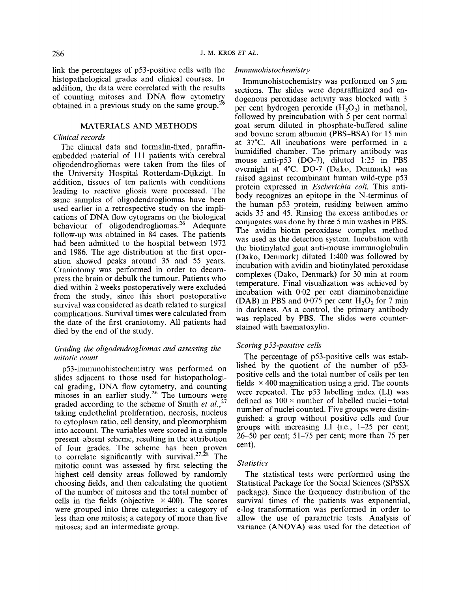link the percentages of p53-positive cells with the histopathological grades and clinical courses. In addition, the data were correlated with the results of counting mitoses and DNA flow cytometry obtained in a previous study on the same group.<sup>2</sup>

#### MATERIALS AND METHODS

#### *Clinical records*

The clinical data and formalin-fixed, paraffinembedded material of 111 patients with cerebral oligodendrogliomas were taken from the files of the University Hospital Rotterdam-Dijkzigt. In addition, tissues of ten patients with conditions leading to reactive gliosis were processed. The same samples of oligodendrogliomas have been used earlier in a retrospective study on the implications of DNA flow cytograms on the biological behaviour of oligodendrogliomas.<sup>26</sup> Adequate follow-up was obtained in 84 cases. The patients had been admitted to the hospital between 1972 and 1986. The age distribution at the first operation showed peaks around 35 and 55 years. Craniotomy was performed in order to decompress the brain or debulk the tumour. Patients who died within 2 weeks postoperatively were excluded from the study, since this short postoperative survival was considered as death related to surgical complications. Survival times were calculated from the date of the first craniotomy. All patients had died by the end of the study.

#### *Grading the oligodendrogliomas and assessing the mitotic count*

p53-immunohistochemistry was performed on slides adjacent to those used for histopathological grading, DNA flow cytometry, and counting mitoses in an earlier study.<sup>26</sup> The tumours were graded according to the scheme of Smith *et*  taking endothelial proliferation, necrosis, nucleus to cytoplasm ratio, cell density, and pleomorphism into account. The variables were scored in a simple present-absent scheme, resulting in the attribution of four grades. The scheme has been proven to correlate significantly with survival.<sup>27,28</sup> The mitotic count was assessed by first selecting the highest cell density areas followed by randomly choosing fields, and then calculating the quotient of the number of mitoses and the total number of cells in the fields (objective  $\times$  400). The scores were grouped into three categories: a category of less than one mitosis; a category of more than five mitoses; and an intermediate group.

# *Immunohistochemistry*

Immunohistochemistry was performed on  $5 \mu m$ sections. The slides were deparaffinized and endogenous peroxidase activity was blocked with 3 per cent hydrogen peroxide  $(H<sub>2</sub>O<sub>2</sub>)$  in methanol, followed by preincubation with 5 per cent normal goat serum diluted in phosphate-buffered saline and bovine serum albumin (PBS-BSA) for 15 min at 37°C. All incubations were performed in a humidified chamber. The primary antibody was mouse anti-p53 (DO-7), diluted 1:25 in PBS overnight at 4°C. DO-7 (Dako, Denmark) was raised against recombinant human wild-type p53 protein expressed in *Escherichia coli.* This antibody recognizes an epitope in the N-terminus of the human p53 protein, residing between amino acids *35* and 45, Rinsing the excess antibodies or conjugates was done by three 5 min washes in PBS. The **avidin-biotin-peroxidase** complex method was used as the detection system. Incubation with the biotinylated goat anti-mouse immunoglobulin (Dako, Denmark) diluted 1:400 was followed by incubation with avidin and biotinylated peroxidase complexes (Dako, Denmark) for 30 min at room temperature. Final visualization was achieved by incubation with 0.02 per cent diaminobenzidine (DAB) in PBS and  $0.075$  per cent  $H_2O_2$  for 7 min in darkness. As a control, the primary antibody was replaced by PBS. The slides were counterstained with haematoxylin.

# *Scoring p53-positive cells*

The percentage of p53-positive cells was established by the quotient of the number of p53 positive cells and the total number of cells per ten fields  $\times$  400 magnification using a grid. The counts were repeated. The p53 labelling index (LI) was defined as  $100 \times$  number of labelled nuclei $\div$ total number of nuclei counted. Five groups were distinguished: a group without positive cells and four groups with increasing LI (i.e., 1-25 per cent;  $26-50$  per cent;  $51-75$  per cent; more than 75 per cent).

#### *Stat is tics*

The statistical tests were performed using the Statistical Package for the Social Sciences (SPSSX package). Since the frequency distribution of the survival times of the patients was exponential, e-log transformation was performed in order to allow the use of parametric tests. Analysis of variance (ANOVA) was used for the detection of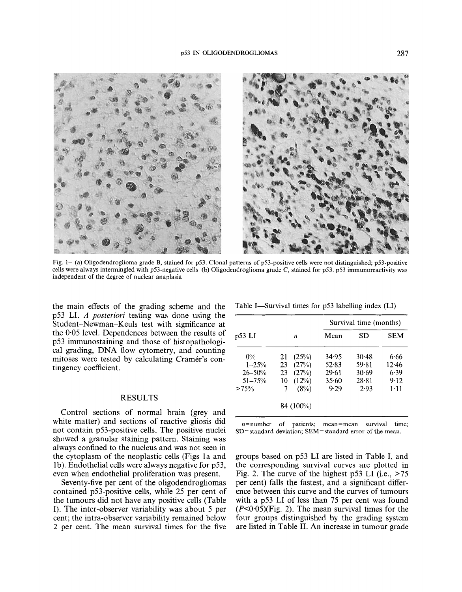

Fig. 1-(a) Oligodendroglioma grade **B,** stained for p53. Clonal patterns of p53-positive cells were not distinguished; p53-positive cells were always intermingled with p53-negative cells. (b) Oligodendroglioma grade C, stained for p53. p53 immunoreactivity was independent of the degree of nuclear anaplasia

the main effects of the grading scheme and the p53 LI. *A posteriori* testing was done using the Student-Newman-Keuls test with significance at the 0.05 level. Dependences between the results of p53 immunostaining and those of histopathological grading, **DNA** flow cytometry, and counting mitoses were tested by calculating Cramer's contingency coefficient.

# RESULTS

Control sections of normal brain (grey and white matter) and sections of reactive gliosis did not contain p53-positive cells. The positive nuclei showed a granular staining pattern. Staining was always confined to the nucleus and was not seen in the cytoplasm of the neoplastic cells (Figs la and lb). Endothelial cells were always negative for p53, even when endothelial proliferation was present.

Seventy-five per cent of the oligodendrogliomas contained p53-positive cells, while 25 per cent of the tumours did not have any positive cells (Table I). The inter-observer variability was about 5 per cent; the intra-observer variability remained below 2 per cent. The mean survival times for the five

| p53 LI      |    |           | Survival time (months) |       |            |  |
|-------------|----|-----------|------------------------|-------|------------|--|
|             |    | n         | Mean                   | SD    | <b>SEM</b> |  |
| $0\%$       | 21 | (25%)     | 34.95                  | 30.48 | 6.66       |  |
| $1 - 25%$   | 23 | (27%)     | 52.83                  | 59.81 | 12.46      |  |
| $26 - 50\%$ | 23 | (27%)     | 29.61                  | 30.69 | 6.39       |  |
| $51 - 75%$  | 10 | (12%)     | 35.60                  | 28.81 | 9.12       |  |
| >75%        | 7  | (8%)      | 9.29                   | 2.93  | $1 - 11$   |  |
|             |    | 84 (100%) |                        |       |            |  |

Table I—Survival times for p53 labelling index (LI)

 $n=$ number of patients; mean=mean survival time; SD=standard deviation; SEM=standard error of the mean.

groups based on p53 **LI** are listed in Table I, and the corresponding survival curves are plotted in Fig. 2. The curve of the highest p53 LI (i.e.,  $>75$ ) per cent) falls the fastest, and a significant difference between this curve and the curves of tumours with a p53 LI of less than 75 per cent was found  $(P<0.05)$ (Fig. 2). The mean survival times for the four groups distinguished by the grading system are listed in Table **11. An** increase in tumour grade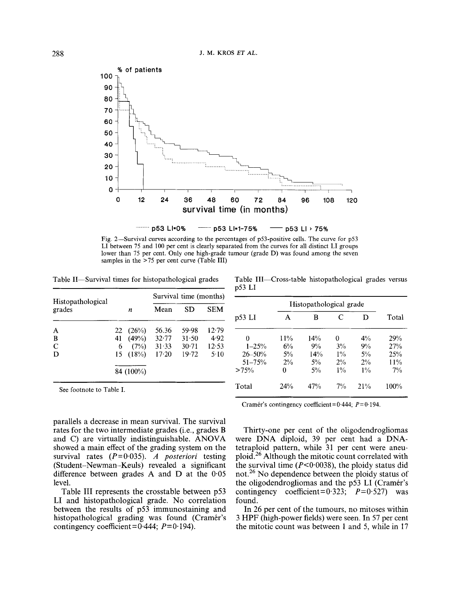

LI between *75* and 100 per cent is clearly separated from the curves for all distinct LI groups lower than 75 per cent. Only one high-grade tumour (grade D) was found among the seven samples in the *>75* per cent curve (Table **111)** 

Table II—Survival times for histopathological grades

Table 111-Cross-table histopathological grades versus p53 LI

| Histopathological |    |           | Survival time (months) |           |            |
|-------------------|----|-----------|------------------------|-----------|------------|
| grades            |    | n         | Mean                   | SD        | <b>SEM</b> |
| А                 | 22 | (26%)     | 56.36                  | 59.98     | 12.79      |
| B                 | 41 | (49%)     | 32.77                  | $31 - 50$ | 4.92       |
| $\mathbf C$       | 6  | (7%)      | 31.33                  | $30 - 71$ | 12.53      |
| D                 |    | 15(18%)   | $17-20$                | 19.72     | 5.10       |
|                   |    | 84 (100%) |                        |           |            |

| p53 LI      | Histopathological grade |       |       |       |       |
|-------------|-------------------------|-------|-------|-------|-------|
|             | А                       | в     | C     | D     | Total |
| 0           | 11%                     | 14%   | 0     | $4\%$ | 29%   |
| $1 - 25%$   | 6%                      | 9%    | $3\%$ | 9%    | 27%   |
| $26 - 50\%$ | $5\%$                   | 14%   | $1\%$ | $5\%$ | 25%   |
| $51 - 75%$  | 2%                      | $5\%$ | 2%    | $2\%$ | 11%   |
| >75%        | 0                       | $5\%$ | $1\%$ | $1\%$ | 7%    |
| Total       | 24%                     | 47%   | $7\%$ | 21%   | 100%  |

See footnote to Table I.

parallels a decrease in mean survival. The survival rates for the two intermediate grades (i.e., grades B and C) are virtually indistinguishable. ANOVA showed a main effect of the grading system on the survival rates (P=0.035). *A posteriori* testing (Student-Newman-Keuls) revealed a significant difference between grades A and D at the 0.05 level.

Table III represents the crosstable between p53 LI and histopathological grade. No correlation between the results of p53 immunostaining and histopathological grading was found (Cramér's contingency coefficient =  $0.444$ ;  $P = 0.194$ ).

Cramér's contingency coefficient=0.444;  $P=0.194$ .

Thirty-one per cent of the oligodendrogliomas were DNA diploid, 39 per cent had a DNAtetraploid pattern, while 31 per cent were aneuploid.26 Although the mitotic count correlated with the survival time  $(P < 0.0038)$ , the ploidy status did not.26 No dependence between the ploidy status of the oligodendrogliomas and the  $p53$  LI (Cramér's contingency coefficient= $0.323$ ;  $P=0.527$ ) was found.

In 26 per cent of the tumours, no mitoses within 3 HPF (high-power fields) were seen. In 57 per cent the mitotic count was between 1 and *5,* while in 17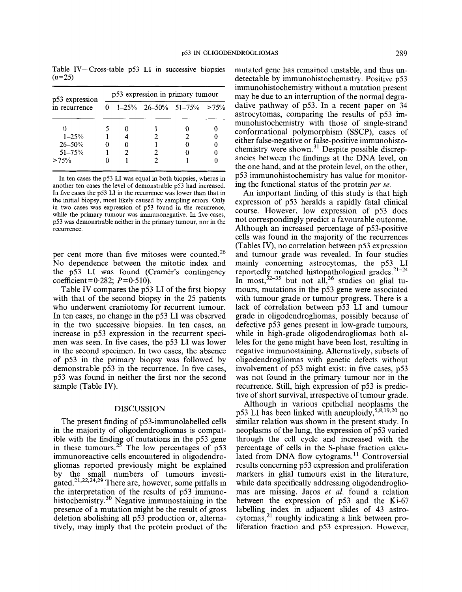| p53 expression | p53 expression in primary tumour |   |  |                             |  |  |  |
|----------------|----------------------------------|---|--|-----------------------------|--|--|--|
| in recurrence  | 0                                |   |  | $1-25\%$ 26-50% 51-75% >75% |  |  |  |
|                |                                  |   |  |                             |  |  |  |
| $1 - 25%$      |                                  |   |  |                             |  |  |  |
| $26 - 50%$     |                                  |   |  |                             |  |  |  |
| $51 - 75%$     |                                  | 2 |  |                             |  |  |  |
| >75%           |                                  |   |  |                             |  |  |  |

Table IV-Cross-table p53 LI in successive biopsies  $(n=25)$ 

In ten cases the p53 **LI** was equal in both biopsies, wheras in another ten cases the level of demonstrable p53 had increased. In five cases the p53 LI in the recurrence was lower than that in the initial biopsy, most likely caused by sampling errors. Only in two cases was expression of p53 found in the recurrence, while the primary tumour was immunonegative. In five cases, p53 was demonstrable neither in the primary tumour, nor in the recurrence.

per cent more than five mitoses were counted.<sup>26</sup> No dependence between the mitotic index and the p53 LI was found (Cramér's contingency  $coefficient = 0.282$ ;  $P = 0.510$ ).

Table IV compares the p53 LI of the first biopsy with that of the second biopsy in the 25 patients who underwent craniotomy for recurrent tumour. In ten cases, no change in the p53 LI was observed in the two successive biopsies. In ten cases, an increase in p53 expression in the recurrent specimen was seen. In five cases, the p53 LI was lower in the second specimen. In two cases, the absence of p53 in the primary biopsy was followed by demonstrable p53 in the recurrence. In five cases, p53 was found in neither the first nor the second sample (Table IV).

### DISCUSSION

The present finding of p53-immunolabelled cells in the majority of oligodendrogliomas is compatible with the finding of mutations in the p53 gene in these tumours.<sup>25</sup> The low percentages of  $p53$ immunoreactive cells encountered in oligodendrogliomas reported previously might be explained by the small numbers of tumours investigated.<sup>21,22,24,29</sup> There are, however, some pitfalls in the interpretation of the results of p53 immunohistochemistry. $30$  Negative immunostaining in the presence of a mutation might be the result of gross deletion abolishing all p53 production or, alternatively, may imply that the protein product of the

mutated gene has remained unstable, and thus undetectable by immunohistochemistry. Positive p53 immunohistochemistry without a mutation present may be due to an interruption of the normal degradative pathway of p53. In a recent paper on 34 astrocytomas, comparing the results of p53 immunohistochemistry with those of single-strand conformational polymorphism (SSCP), cases of either false-negative or false-positive immunohistochemistry were shown.<sup>31</sup> Despite possible discrepancies between the findings at the DNA level, on the one hand, and at the protein level, on the other, p53 immunohistochemistry has value for monitoring the functional status of the protein *per* se.

An important finding of this study is that high expression of p53 heralds a rapidly fatal clinical course. However, low expression of p53 does not correspondingly predict a favourable outcome. Although an increased percentage of p53-positive cells was found in the majority of the recurrences (Tables IV), no correlation between p53 expression and tumour grade was revealed. In four studies mainly concerning astrocytomas, the p53 LI reportedly matched histopathological grades.<sup>21-24</sup> In most,  $32-35$  but not all,  $36$  studies on glial tumours, mutations in the p53 gene were associated with tumour grade or tumour progress. There is a lack of correlation between p53 LI and tumour grade in oligodendrogliomas, possibly because of defective p53 genes present in low-grade tumours, while in high-grade oligodendrogliomas both alleles for the gene might have been lost, resulting in negative immunostaining. Alternatively, subsets of oligodendrogliomas with genetic defects without involvement of p53 might exist: in five cases, p53 was not found in the primary tumour nor in the recurrence. Still, high expression of p53 is predictive of short survival, irrespective of tumour grade.

Although in various epithelial neoplasms the p53 LI has been linked with aneuploidy,  $5,8,19,20$  no similar relation was shown in the present study. In neoplasms of the lung, the expression of p53 varied through the cell cycle and increased with the percentage of cells in the S-phase fraction calculated from DNA flow cytograms.<sup>11</sup> Controversial results concerning p53 expression and proliferation markers in glial tumours exist in the literature, while data specifically addressing oligodendrogliomas are missing. Jaros *et al.* found a relation between the expression of p53 and the Ki-67 labelling index in adjacent slides of 43 astrocytomas,<sup>21</sup> roughly indicating a link between proliferation fraction and p53 expression. However,